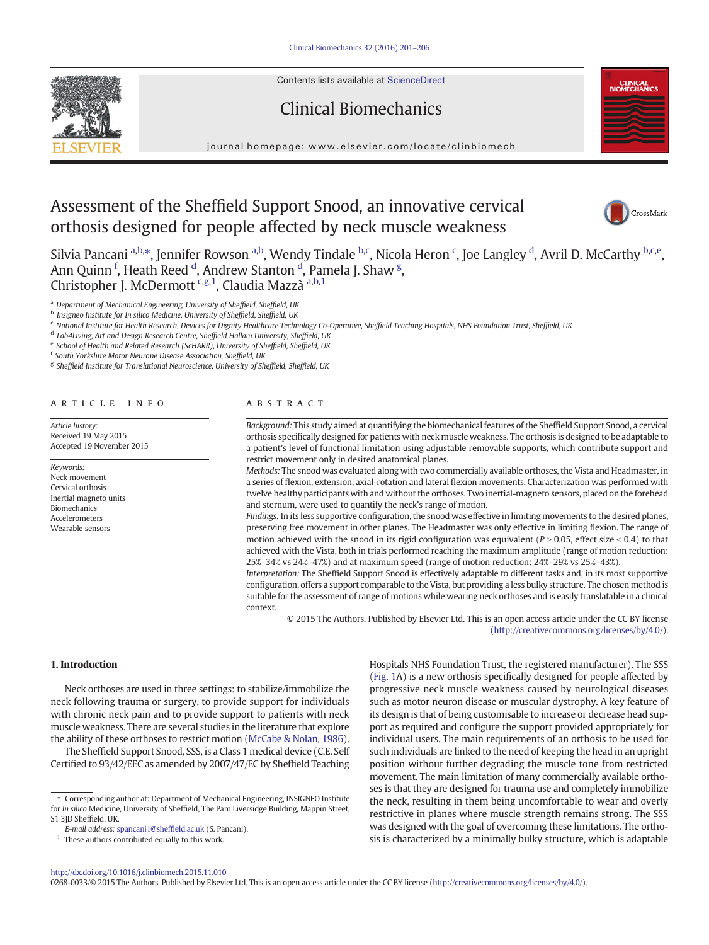Contents lists available at ScienceDirect

Clinical Biomechanics



# journal homepage: www.elsevier.com/locate/clinbiomech

# Assessment of the Sheffield Support Snood, an innovative cervical orthosis designed for people affected by neck muscle weakness



Silvia Pancani <sup>a,b,</sup>\*, Jennifer Rowson <sup>a,b</sup>, Wendy Tindale <sup>b,c</sup>, Nicola Heron <sup>c</sup>, Joe Langley <sup>d</sup>, Avril D. McCarthy <sup>b,c,e</sup>, Ann Quinn <sup>f</sup>, Heath Reed <sup>d</sup>, Andrew Stanton <sup>d</sup>, Pamela J. Shaw <sup>g</sup>, Christopher J. McDermott C,g,1, Claudia Mazzà a,b,1

<sup>a</sup> Department of Mechanical Engineering, University of Sheffield, Sheffield, UK

b Insigneo Institute for In silico Medicine, University of Sheffield, Sheffield, UK

<sup>c</sup> National Institute for Health Research, Devices for Dignity Healthcare Technology Co-Operative, Sheffield Teaching Hospitals, NHS Foundation Trust, Sheffield, UK

<sup>d</sup> Lab4Living, Art and Design Research Centre, Sheffield Hallam University, Sheffield, UK

<sup>e</sup> School of Health and Related Research (ScHARR), University of Sheffield, Sheffield, UK

<sup>f</sup> South Yorkshire Motor Neurone Disease Association, Sheffield, UK

<sup>g</sup> Sheffield Institute for Translational Neuroscience, University of Sheffield, Sheffield, UK

# article info abstract

Article history: Received 19 May 2015 Accepted 19 November 2015

#### Keywords: Neck movement Cervical orthosis Inertial magneto units Biomechanics Accelerometers Wearable sensors

Background: This study aimed at quantifying the biomechanical features of the Sheffield Support Snood, a cervical orthosis specifically designed for patients with neck muscle weakness. The orthosis is designed to be adaptable to a patient's level of functional limitation using adjustable removable supports, which contribute support and restrict movement only in desired anatomical planes.

Methods: The snood was evaluated along with two commercially available orthoses, the Vista and Headmaster, in a series of flexion, extension, axial-rotation and lateral flexion movements. Characterization was performed with twelve healthy participants with and without the orthoses. Two inertial-magneto sensors, placed on the forehead and sternum, were used to quantify the neck's range of motion.

Findings: In its less supportive configuration, the snood was effective in limiting movements to the desired planes, preserving free movement in other planes. The Headmaster was only effective in limiting flexion. The range of motion achieved with the snood in its rigid configuration was equivalent ( $P > 0.05$ , effect size  $< 0.4$ ) to that achieved with the Vista, both in trials performed reaching the maximum amplitude (range of motion reduction: 25%–34% vs 24%–47%) and at maximum speed (range of motion reduction: 24%–29% vs 25%–43%).

Interpretation: The Sheffield Support Snood is effectively adaptable to different tasks and, in its most supportive configuration, offers a support comparable to the Vista, but providing a less bulky structure. The chosen method is suitable for the assessment of range of motions while wearing neck orthoses and is easily translatable in a clinical context.

© 2015 The Authors. Published by Elsevier Ltd. This is an open access article under the CC BY license (http://creativecommons.org/licenses/by/4.0/).

# 1. Introduction

Neck orthoses are used in three settings: to stabilize/immobilize the neck following trauma or surgery, to provide support for individuals with chronic neck pain and to provide support to patients with neck muscle weakness. There are several studies in the literature that explore the ability of these orthoses to restrict motion ([McCabe & Nolan, 1986](#page-5-0)).

The Sheffield Support Snood, SSS, is a Class 1 medical device (C.E. Self Certified to 93/42/EEC as amended by 2007/47/EC by Sheffield Teaching

Hospitals NHS Foundation Trust, the registered manufacturer). The SSS [\(Fig. 1](#page-1-0)A) is a new orthosis specifically designed for people affected by progressive neck muscle weakness caused by neurological diseases such as motor neuron disease or muscular dystrophy. A key feature of its design is that of being customisable to increase or decrease head support as required and configure the support provided appropriately for individual users. The main requirements of an orthosis to be used for such individuals are linked to the need of keeping the head in an upright position without further degrading the muscle tone from restricted movement. The main limitation of many commercially available orthoses is that they are designed for trauma use and completely immobilize the neck, resulting in them being uncomfortable to wear and overly restrictive in planes where muscle strength remains strong. The SSS was designed with the goal of overcoming these limitations. The orthosis is characterized by a minimally bulky structure, which is adaptable

0268-0033/© 2015 The Authors. Published by Elsevier Ltd. This is an open access article under the CC BY license (http://creativecommons.org/licenses/by/4.0/).

<sup>⁎</sup> Corresponding author at: Department of Mechanical Engineering, INSIGNEO Institute for In silico Medicine, University of Sheffield, The Pam Liversidge Building, Mappin Street, S1 3ID Sheffield, UK.

E-mail address: [spancani1@shef](mailto:spancani1@sheffield.ac.uk)field.ac.uk (S. Pancani).

 $^{\rm 1}$  These authors contributed equally to this work.

<http://dx.doi.org/10.1016/j.clinbiomech.2015.11.010>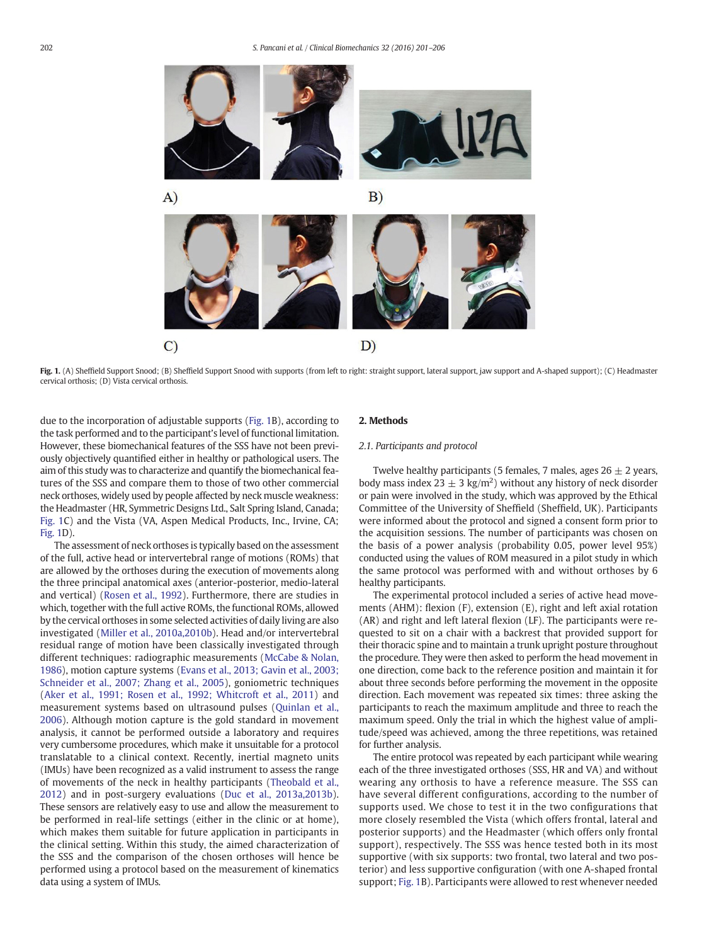<span id="page-1-0"></span>

Fig. 1. (A) Sheffield Support Snood; (B) Sheffield Support Snood with supports (from left to right: straight support, lateral support, jaw support and A-shaped support); (C) Headmaster cervical orthosis; (D) Vista cervical orthosis.

due to the incorporation of adjustable supports (Fig. 1B), according to the task performed and to the participant's level of functional limitation. However, these biomechanical features of the SSS have not been previously objectively quantified either in healthy or pathological users. The aim of this study was to characterize and quantify the biomechanical features of the SSS and compare them to those of two other commercial neck orthoses, widely used by people affected by neck muscle weakness: the Headmaster (HR, Symmetric Designs Ltd., Salt Spring Island, Canada; Fig. 1C) and the Vista (VA, Aspen Medical Products, Inc., Irvine, CA; Fig. 1D).

The assessment of neck orthoses is typically based on the assessment of the full, active head or intervertebral range of motions (ROMs) that are allowed by the orthoses during the execution of movements along the three principal anatomical axes (anterior-posterior, medio-lateral and vertical) [\(Rosen et al., 1992](#page-5-0)). Furthermore, there are studies in which, together with the full active ROMs, the functional ROMs, allowed by the cervical orthoses in some selected activities of daily living are also investigated ([Miller et al., 2010a,2010b](#page-5-0)). Head and/or intervertebral residual range of motion have been classically investigated through different techniques: radiographic measurements [\(McCabe & Nolan,](#page-5-0) [1986\)](#page-5-0), motion capture systems ([Evans et al., 2013; Gavin et al., 2003;](#page-5-0) [Schneider et al., 2007; Zhang et al., 2005\)](#page-5-0), goniometric techniques [\(Aker et al., 1991; Rosen et al., 1992; Whitcroft et al., 2011](#page-5-0)) and measurement systems based on ultrasound pulses ([Quinlan et al.,](#page-5-0) [2006](#page-5-0)). Although motion capture is the gold standard in movement analysis, it cannot be performed outside a laboratory and requires very cumbersome procedures, which make it unsuitable for a protocol translatable to a clinical context. Recently, inertial magneto units (IMUs) have been recognized as a valid instrument to assess the range of movements of the neck in healthy participants [\(Theobald et al.,](#page-5-0) [2012](#page-5-0)) and in post-surgery evaluations ([Duc et al., 2013a,2013b](#page-5-0)). These sensors are relatively easy to use and allow the measurement to be performed in real-life settings (either in the clinic or at home), which makes them suitable for future application in participants in the clinical setting. Within this study, the aimed characterization of the SSS and the comparison of the chosen orthoses will hence be performed using a protocol based on the measurement of kinematics data using a system of IMUs.

# 2. Methods

# 2.1. Participants and protocol

Twelve healthy participants (5 females, 7 males, ages  $26 \pm 2$  years, body mass index 23  $\pm$  3 kg/m<sup>2</sup>) without any history of neck disorder or pain were involved in the study, which was approved by the Ethical Committee of the University of Sheffield (Sheffield, UK). Participants were informed about the protocol and signed a consent form prior to the acquisition sessions. The number of participants was chosen on the basis of a power analysis (probability 0.05, power level 95%) conducted using the values of ROM measured in a pilot study in which the same protocol was performed with and without orthoses by 6 healthy participants.

The experimental protocol included a series of active head movements (AHM): flexion (F), extension (E), right and left axial rotation (AR) and right and left lateral flexion (LF). The participants were requested to sit on a chair with a backrest that provided support for their thoracic spine and to maintain a trunk upright posture throughout the procedure. They were then asked to perform the head movement in one direction, come back to the reference position and maintain it for about three seconds before performing the movement in the opposite direction. Each movement was repeated six times: three asking the participants to reach the maximum amplitude and three to reach the maximum speed. Only the trial in which the highest value of amplitude/speed was achieved, among the three repetitions, was retained for further analysis.

The entire protocol was repeated by each participant while wearing each of the three investigated orthoses (SSS, HR and VA) and without wearing any orthosis to have a reference measure. The SSS can have several different configurations, according to the number of supports used. We chose to test it in the two configurations that more closely resembled the Vista (which offers frontal, lateral and posterior supports) and the Headmaster (which offers only frontal support), respectively. The SSS was hence tested both in its most supportive (with six supports: two frontal, two lateral and two posterior) and less supportive configuration (with one A-shaped frontal support; Fig. 1B). Participants were allowed to rest whenever needed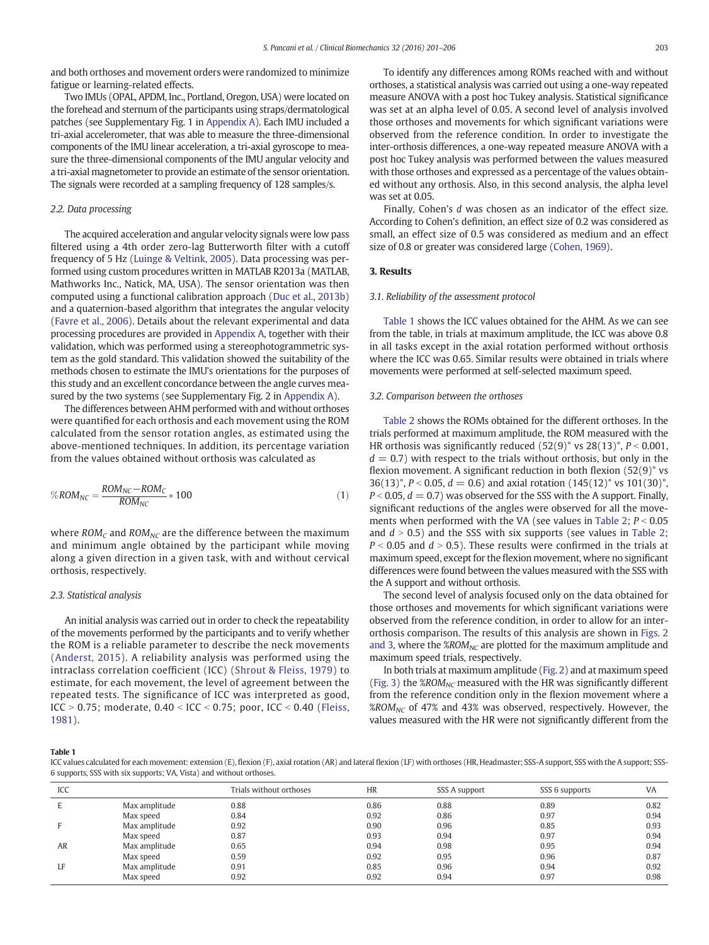and both orthoses and movement orders were randomized to minimize fatigue or learning-related effects.

Two IMUs (OPAL, APDM, Inc., Portland, Oregon, USA) were located on the forehead and sternum of the participants using straps/dermatological patches (see Supplementary Fig. 1 in [Appendix A](#page-4-0)). Each IMU included a tri-axial accelerometer, that was able to measure the three-dimensional components of the IMU linear acceleration, a tri-axial gyroscope to measure the three-dimensional components of the IMU angular velocity and a tri-axial magnetometer to provide an estimate of the sensor orientation. The signals were recorded at a sampling frequency of 128 samples/s.

#### 2.2. Data processing

The acquired acceleration and angular velocity signals were low pass filtered using a 4th order zero-lag Butterworth filter with a cutoff frequency of 5 Hz [\(Luinge & Veltink, 2005\)](#page-5-0). Data processing was performed using custom procedures written in MATLAB R2013a (MATLAB, Mathworks Inc., Natick, MA, USA). The sensor orientation was then computed using a functional calibration approach [\(Duc et al., 2013b](#page-5-0)) and a quaternion-based algorithm that integrates the angular velocity [\(Favre et al., 2006\)](#page-5-0). Details about the relevant experimental and data processing procedures are provided in [Appendix A,](#page-4-0) together with their validation, which was performed using a stereophotogrammetric system as the gold standard. This validation showed the suitability of the methods chosen to estimate the IMU's orientations for the purposes of this study and an excellent concordance between the angle curves measured by the two systems (see Supplementary Fig. 2 in [Appendix A](#page-4-0)).

The differences between AHM performed with and without orthoses were quantified for each orthosis and each movement using the ROM calculated from the sensor rotation angles, as estimated using the above-mentioned techniques. In addition, its percentage variation from the values obtained without orthosis was calculated as

$$
\%ROM_{NC} = \frac{ROM_{NC} - ROM_C}{ROM_{NC}} * 100
$$
\n(1)

where  $ROM_C$  and  $ROM_{NC}$  are the difference between the maximum and minimum angle obtained by the participant while moving along a given direction in a given task, with and without cervical orthosis, respectively.

#### 2.3. Statistical analysis

An initial analysis was carried out in order to check the repeatability of the movements performed by the participants and to verify whether the ROM is a reliable parameter to describe the neck movements [\(Anderst, 2015\)](#page-5-0). A reliability analysis was performed using the intraclass correlation coefficient (ICC) ([Shrout & Fleiss, 1979\)](#page-5-0) to estimate, for each movement, the level of agreement between the repeated tests. The significance of ICC was interpreted as good, ICC > 0.75; moderate,  $0.40 <$  ICC < 0.75; poor, ICC < 0.40 ([Fleiss,](#page-5-0) [1981](#page-5-0)).

To identify any differences among ROMs reached with and without orthoses, a statistical analysis was carried out using a one-way repeated measure ANOVA with a post hoc Tukey analysis. Statistical significance was set at an alpha level of 0.05. A second level of analysis involved those orthoses and movements for which significant variations were observed from the reference condition. In order to investigate the inter-orthosis differences, a one-way repeated measure ANOVA with a post hoc Tukey analysis was performed between the values measured with those orthoses and expressed as a percentage of the values obtained without any orthosis. Also, in this second analysis, the alpha level was set at 0.05.

Finally, Cohen's d was chosen as an indicator of the effect size. According to Cohen's definition, an effect size of 0.2 was considered as small, an effect size of 0.5 was considered as medium and an effect size of 0.8 or greater was considered large [\(Cohen, 1969](#page-5-0)).

# 3. Results

### 3.1. Reliability of the assessment protocol

Table 1 shows the ICC values obtained for the AHM. As we can see from the table, in trials at maximum amplitude, the ICC was above 0.8 in all tasks except in the axial rotation performed without orthosis where the ICC was 0.65. Similar results were obtained in trials where movements were performed at self-selected maximum speed.

## 3.2. Comparison between the orthoses

[Table 2](#page-3-0) shows the ROMs obtained for the different orthoses. In the trials performed at maximum amplitude, the ROM measured with the HR orthosis was significantly reduced  $(52(9)°$  vs  $28(13)°$ ,  $P < 0.001$ ,  $d = 0.7$ ) with respect to the trials without orthosis, but only in the flexion movement. A significant reduction in both flexion (52(9)° vs 36(13)°, P < 0.05, d = 0.6) and axial rotation (145(12)° vs 101(30)°,  $P < 0.05$ ,  $d = 0.7$ ) was observed for the SSS with the A support. Finally, significant reductions of the angles were observed for all the move-ments when performed with the VA (see values in [Table 2](#page-3-0);  $P < 0.05$ and  $d > 0.5$ ) and the SSS with six supports (see values in [Table 2;](#page-3-0)  $P < 0.05$  and  $d > 0.5$ ). These results were confirmed in the trials at maximum speed, except for the flexion movement, where no significant differences were found between the values measured with the SSS with the A support and without orthosis.

The second level of analysis focused only on the data obtained for those orthoses and movements for which significant variations were observed from the reference condition, in order to allow for an interorthosis comparison. The results of this analysis are shown in [Figs. 2](#page-3-0) [and 3](#page-3-0), where the  $\%ROM_{NC}$  are plotted for the maximum amplitude and maximum speed trials, respectively.

In both trials at maximum amplitude [\(Fig. 2](#page-3-0)) and at maximum speed [\(Fig. 3](#page-3-0)) the  $\%ROM_{NC}$  measured with the HR was significantly different from the reference condition only in the flexion movement where a  $%ROM_{NC}$  of 47% and 43% was observed, respectively. However, the values measured with the HR were not significantly different from the

Table 1

ICC values calculated for each movement: extension (E), flexion (F), axial rotation (AR) and lateral flexion (LF) with orthoses (HR, Headmaster; SSS-A support, SSS with the A support; SSS-6 supports, SSS with six supports; VA, Vista) and without orthoses.

| ICC       |               | Trials without orthoses | <b>HR</b> | SSS A support | SSS 6 supports | VA   |
|-----------|---------------|-------------------------|-----------|---------------|----------------|------|
|           | Max amplitude | 0.88                    | 0.86      | 0.88          | 0.89           | 0.82 |
|           | Max speed     | 0.84                    | 0.92      | 0.86          | 0.97           | 0.94 |
|           | Max amplitude | 0.92                    | 0.90      | 0.96          | 0.85           | 0.93 |
|           | Max speed     | 0.87                    | 0.93      | 0.94          | 0.97           | 0.94 |
| <b>AR</b> | Max amplitude | 0.65                    | 0.94      | 0.98          | 0.95           | 0.94 |
|           | Max speed     | 0.59                    | 0.92      | 0.95          | 0.96           | 0.87 |
| LF        | Max amplitude | 0.91                    | 0.85      | 0.96          | 0.94           | 0.92 |
|           | Max speed     | 0.92                    | 0.92      | 0.94          | 0.97           | 0.98 |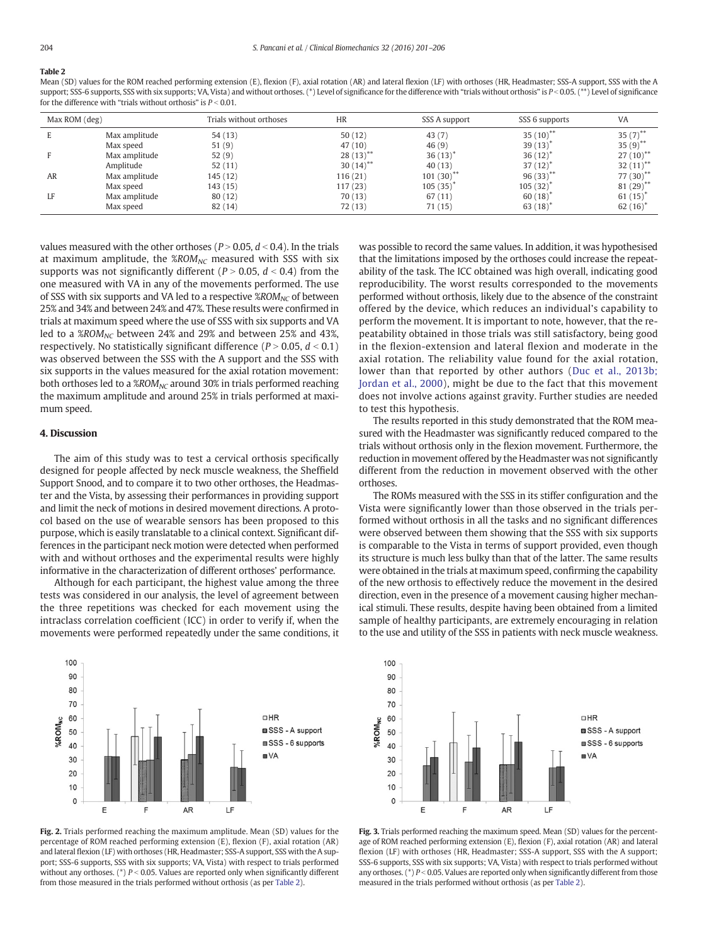## <span id="page-3-0"></span>Table 2

Mean (SD) values for the ROM reached performing extension (E), flexion (F), axial rotation (AR) and lateral flexion (LF) with orthoses (HR, Headmaster; SSS-A support, SSS with the A support; SSS-6 supports, SSS with six supports; VA, Vista) and without orthoses. (\*) Level of significance for the difference with "trials without orthosis" is P < 0.05. (\*\*) Level of significance for the difference with "trials without orthosis" is  $P < 0.01$ .

| Max ROM (deg) |               | Trials without orthoses | <b>HR</b>              | SSS A support           | SSS 6 supports         | VA                      |
|---------------|---------------|-------------------------|------------------------|-------------------------|------------------------|-------------------------|
|               | Max amplitude | 54(13)                  | 50(12)                 | 43(7)                   | 35 $(10)^{**}$         | 35 $(7)$ <sup>**</sup>  |
|               | Max speed     | 51(9)                   | 47 (10)                | 46(9)                   | $39(13)^{3}$           | 35 $(9)$ <sup>**</sup>  |
|               | Max amplitude | 52(9)                   | $28(13)$ <sup>**</sup> | 36(13)                  | $36(12)^*$             | $27(10)$ **             |
|               | Amplitude     | 52(11)                  | 30 $(14)^{**}$         | 40(13)                  | $37(12)^{4}$           | 32 $(11)^{**}$          |
| AR            | Max amplitude | 145 (12)                | 116(21)                | $101(30)$ <sup>**</sup> | $96(33)$ <sup>*</sup>  | 77 $(30)^{**}$          |
|               | Max speed     | 143 (15)                | 117(23)                | 105(35)                 | $105(32)$ <sup>3</sup> | $81 (29)$ <sup>**</sup> |
| LF            | Max amplitude | 80 (12)                 | 70(13)                 | 67(11)                  | 60(18)                 | 61 $(15)^{3}$           |
|               | Max speed     | 82 (14)                 | 72 (13)                | 71 (15)                 | 63 $(18)^{4}$          | 62(16)                  |

values measured with the other orthoses ( $P > 0.05$ ,  $d < 0.4$ ). In the trials at maximum amplitude, the  $\&ROM_{NC}$  measured with SSS with six supports was not significantly different ( $P > 0.05$ ,  $d < 0.4$ ) from the one measured with VA in any of the movements performed. The use of SSS with six supports and VA led to a respective  $\%ROM_{NC}$  of between 25% and 34% and between 24% and 47%. These results were confirmed in trials at maximum speed where the use of SSS with six supports and VA led to a  $\&ROM_{NC}$  between 24% and 29% and between 25% and 43%, respectively. No statistically significant difference ( $P > 0.05$ ,  $d < 0.1$ ) was observed between the SSS with the A support and the SSS with six supports in the values measured for the axial rotation movement: both orthoses led to a  $\%ROM_{NC}$  around 30% in trials performed reaching the maximum amplitude and around 25% in trials performed at maximum speed.

#### 4. Discussion

The aim of this study was to test a cervical orthosis specifically designed for people affected by neck muscle weakness, the Sheffield Support Snood, and to compare it to two other orthoses, the Headmaster and the Vista, by assessing their performances in providing support and limit the neck of motions in desired movement directions. A protocol based on the use of wearable sensors has been proposed to this purpose, which is easily translatable to a clinical context. Significant differences in the participant neck motion were detected when performed with and without orthoses and the experimental results were highly informative in the characterization of different orthoses' performance.

Although for each participant, the highest value among the three tests was considered in our analysis, the level of agreement between the three repetitions was checked for each movement using the intraclass correlation coefficient (ICC) in order to verify if, when the movements were performed repeatedly under the same conditions, it



Fig. 2. Trials performed reaching the maximum amplitude. Mean (SD) values for the percentage of ROM reached performing extension (E), flexion (F), axial rotation (AR) and lateral flexion (LF) with orthoses (HR, Headmaster; SSS-A support, SSS with the A support; SSS-6 supports, SSS with six supports; VA, Vista) with respect to trials performed without any orthoses. (\*)  $P < 0.05$ . Values are reported only when significantly different from those measured in the trials performed without orthosis (as per Table 2).

was possible to record the same values. In addition, it was hypothesised that the limitations imposed by the orthoses could increase the repeatability of the task. The ICC obtained was high overall, indicating good reproducibility. The worst results corresponded to the movements performed without orthosis, likely due to the absence of the constraint offered by the device, which reduces an individual's capability to perform the movement. It is important to note, however, that the repeatability obtained in those trials was still satisfactory, being good in the flexion-extension and lateral flexion and moderate in the axial rotation. The reliability value found for the axial rotation, lower than that reported by other authors ([Duc et al., 2013b;](#page-5-0) [Jordan et al., 2000](#page-5-0)), might be due to the fact that this movement does not involve actions against gravity. Further studies are needed to test this hypothesis.

The results reported in this study demonstrated that the ROM measured with the Headmaster was significantly reduced compared to the trials without orthosis only in the flexion movement. Furthermore, the reduction in movement offered by the Headmaster was not significantly different from the reduction in movement observed with the other orthoses.

The ROMs measured with the SSS in its stiffer configuration and the Vista were significantly lower than those observed in the trials performed without orthosis in all the tasks and no significant differences were observed between them showing that the SSS with six supports is comparable to the Vista in terms of support provided, even though its structure is much less bulky than that of the latter. The same results were obtained in the trials at maximum speed, confirming the capability of the new orthosis to effectively reduce the movement in the desired direction, even in the presence of a movement causing higher mechanical stimuli. These results, despite having been obtained from a limited sample of healthy participants, are extremely encouraging in relation to the use and utility of the SSS in patients with neck muscle weakness.



Fig. 3. Trials performed reaching the maximum speed. Mean (SD) values for the percentage of ROM reached performing extension (E), flexion (F), axial rotation (AR) and lateral flexion (LF) with orthoses (HR, Headmaster; SSS-A support, SSS with the A support; SSS-6 supports, SSS with six supports; VA, Vista) with respect to trials performed without any orthoses. (\*)  $P < 0.05$ . Values are reported only when significantly different from those measured in the trials performed without orthosis (as per Table 2).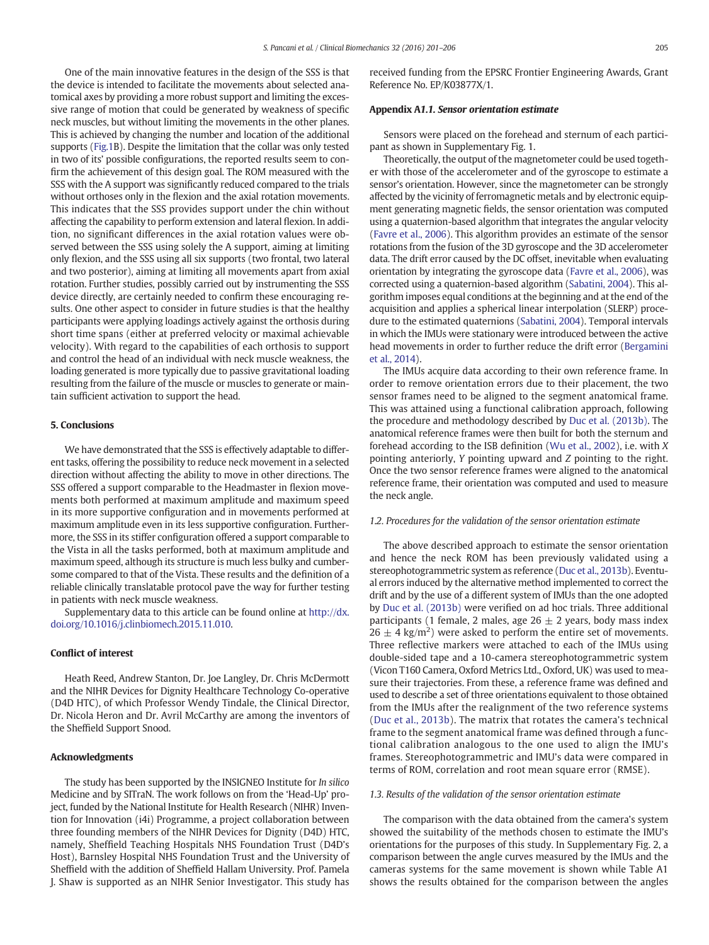<span id="page-4-0"></span>One of the main innovative features in the design of the SSS is that the device is intended to facilitate the movements about selected anatomical axes by providing a more robust support and limiting the excessive range of motion that could be generated by weakness of specific neck muscles, but without limiting the movements in the other planes. This is achieved by changing the number and location of the additional supports [\(Fig.1](#page-1-0)B). Despite the limitation that the collar was only tested in two of its' possible configurations, the reported results seem to confirm the achievement of this design goal. The ROM measured with the SSS with the A support was significantly reduced compared to the trials without orthoses only in the flexion and the axial rotation movements. This indicates that the SSS provides support under the chin without affecting the capability to perform extension and lateral flexion. In addition, no significant differences in the axial rotation values were observed between the SSS using solely the A support, aiming at limiting only flexion, and the SSS using all six supports (two frontal, two lateral and two posterior), aiming at limiting all movements apart from axial rotation. Further studies, possibly carried out by instrumenting the SSS device directly, are certainly needed to confirm these encouraging results. One other aspect to consider in future studies is that the healthy participants were applying loadings actively against the orthosis during short time spans (either at preferred velocity or maximal achievable velocity). With regard to the capabilities of each orthosis to support and control the head of an individual with neck muscle weakness, the loading generated is more typically due to passive gravitational loading resulting from the failure of the muscle or muscles to generate or maintain sufficient activation to support the head.

# 5. Conclusions

We have demonstrated that the SSS is effectively adaptable to different tasks, offering the possibility to reduce neck movement in a selected direction without affecting the ability to move in other directions. The SSS offered a support comparable to the Headmaster in flexion movements both performed at maximum amplitude and maximum speed in its more supportive configuration and in movements performed at maximum amplitude even in its less supportive configuration. Furthermore, the SSS in its stiffer configuration offered a support comparable to the Vista in all the tasks performed, both at maximum amplitude and maximum speed, although its structure is much less bulky and cumbersome compared to that of the Vista. These results and the definition of a reliable clinically translatable protocol pave the way for further testing in patients with neck muscle weakness.

Supplementary data to this article can be found online at [http://dx.](http://dx.doi.org/10.1016/j.clinbiomech.2015.11.010) [doi.org/10.1016/j.clinbiomech.2015.11.010.](http://dx.doi.org/10.1016/j.clinbiomech.2015.11.010)

# Conflict of interest

Heath Reed, Andrew Stanton, Dr. Joe Langley, Dr. Chris McDermott and the NIHR Devices for Dignity Healthcare Technology Co-operative (D4D HTC), of which Professor Wendy Tindale, the Clinical Director, Dr. Nicola Heron and Dr. Avril McCarthy are among the inventors of the Sheffield Support Snood.

# Acknowledgments

The study has been supported by the INSIGNEO Institute for In silico Medicine and by SITraN. The work follows on from the 'Head-Up' project, funded by the National Institute for Health Research (NIHR) Invention for Innovation (i4i) Programme, a project collaboration between three founding members of the NIHR Devices for Dignity (D4D) HTC, namely, Sheffield Teaching Hospitals NHS Foundation Trust (D4D's Host), Barnsley Hospital NHS Foundation Trust and the University of Sheffield with the addition of Sheffield Hallam University. Prof. Pamela J. Shaw is supported as an NIHR Senior Investigator. This study has

received funding from the EPSRC Frontier Engineering Awards, Grant Reference No. EP/K03877X/1.

#### Appendix A1.1. Sensor orientation estimate

Sensors were placed on the forehead and sternum of each participant as shown in Supplementary Fig. 1.

Theoretically, the output of the magnetometer could be used together with those of the accelerometer and of the gyroscope to estimate a sensor's orientation. However, since the magnetometer can be strongly affected by the vicinity of ferromagnetic metals and by electronic equipment generating magnetic fields, the sensor orientation was computed using a quaternion-based algorithm that integrates the angular velocity [\(Favre et al., 2006](#page-5-0)). This algorithm provides an estimate of the sensor rotations from the fusion of the 3D gyroscope and the 3D accelerometer data. The drift error caused by the DC offset, inevitable when evaluating orientation by integrating the gyroscope data [\(Favre et al., 2006\)](#page-5-0), was corrected using a quaternion-based algorithm [\(Sabatini, 2004](#page-5-0)). This algorithm imposes equal conditions at the beginning and at the end of the acquisition and applies a spherical linear interpolation (SLERP) procedure to the estimated quaternions [\(Sabatini, 2004\)](#page-5-0). Temporal intervals in which the IMUs were stationary were introduced between the active head movements in order to further reduce the drift error ([Bergamini](#page-5-0) [et al., 2014](#page-5-0)).

The IMUs acquire data according to their own reference frame. In order to remove orientation errors due to their placement, the two sensor frames need to be aligned to the segment anatomical frame. This was attained using a functional calibration approach, following the procedure and methodology described by [Duc et al. \(2013b\)](#page-5-0). The anatomical reference frames were then built for both the sternum and forehead according to the ISB definition ([Wu et al., 2002](#page-5-0)), i.e. with X pointing anteriorly, Y pointing upward and Z pointing to the right. Once the two sensor reference frames were aligned to the anatomical reference frame, their orientation was computed and used to measure the neck angle.

### 1.2. Procedures for the validation of the sensor orientation estimate

The above described approach to estimate the sensor orientation and hence the neck ROM has been previously validated using a stereophotogrammetric system as reference ([Duc et al., 2013b\)](#page-5-0). Eventual errors induced by the alternative method implemented to correct the drift and by the use of a different system of IMUs than the one adopted by [Duc et al. \(2013b\)](#page-5-0) were verified on ad hoc trials. Three additional participants (1 female, 2 males, age  $26 \pm 2$  years, body mass index  $26 \pm 4$  kg/m<sup>2</sup>) were asked to perform the entire set of movements. Three reflective markers were attached to each of the IMUs using double-sided tape and a 10-camera stereophotogrammetric system (Vicon T160 Camera, Oxford Metrics Ltd., Oxford, UK) was used to measure their trajectories. From these, a reference frame was defined and used to describe a set of three orientations equivalent to those obtained from the IMUs after the realignment of the two reference systems [\(Duc et al., 2013b\)](#page-5-0). The matrix that rotates the camera's technical frame to the segment anatomical frame was defined through a functional calibration analogous to the one used to align the IMU's frames. Stereophotogrammetric and IMU's data were compared in terms of ROM, correlation and root mean square error (RMSE).

# 1.3. Results of the validation of the sensor orientation estimate

The comparison with the data obtained from the camera's system showed the suitability of the methods chosen to estimate the IMU's orientations for the purposes of this study. In Supplementary Fig. 2, a comparison between the angle curves measured by the IMUs and the cameras systems for the same movement is shown while Table A1 shows the results obtained for the comparison between the angles